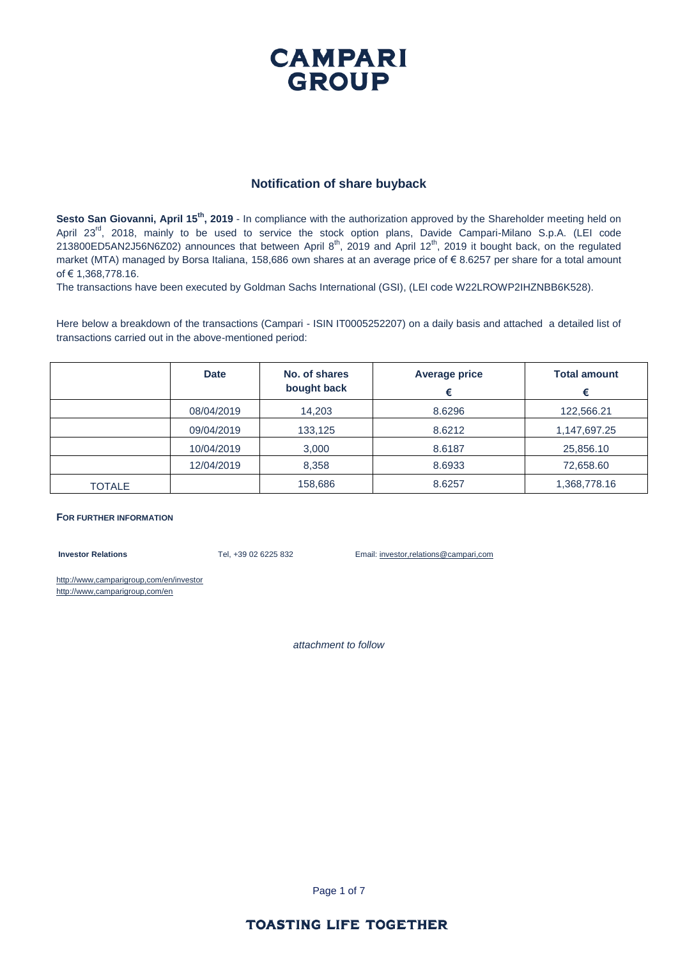### **CAMPARI GROUP**

#### **Notification of share buyback**

**Sesto San Giovanni, April 15th, 2019** - In compliance with the authorization approved by the Shareholder meeting held on April 23<sup>rd</sup>, 2018, mainly to be used to service the stock option plans, Davide Campari-Milano S.p.A. (LEI code 213800ED5AN2J56N6Z02) announces that between April  $8^{th}$ , 2019 and April 12 $^{th}$ , 2019 it bought back, on the regulated market (MTA) managed by Borsa Italiana, 158,686 own shares at an average price of € 8.6257 per share for a total amount of € 1,368,778.16.

The transactions have been executed by Goldman Sachs International (GSI), (LEI code W22LROWP2IHZNBB6K528).

Here below a breakdown of the transactions (Campari - ISIN IT0005252207) on a daily basis and attached a detailed list of transactions carried out in the above-mentioned period:

|               | <b>Date</b> | No. of shares<br>bought back | <b>Average price</b><br>€ | <b>Total amount</b><br>€ |
|---------------|-------------|------------------------------|---------------------------|--------------------------|
|               | 08/04/2019  | 14,203                       | 8.6296                    | 122,566.21               |
|               | 09/04/2019  | 133,125                      | 8.6212                    | 1,147,697.25             |
|               | 10/04/2019  | 3,000                        | 8.6187                    | 25,856.10                |
|               | 12/04/2019  | 8,358                        | 8.6933                    | 72,658.60                |
| <b>TOTALE</b> |             | 158,686                      | 8.6257                    | 1,368,778.16             |

#### **FOR FURTHER INFORMATION**

**Investor Relations** Tel, +39 02 6225 832 Email: investor,relations@campari,com

http://www,camparigroup,com/en/investor http://www,camparigroup,com/en

*attachment to follow*

Page 1 of 7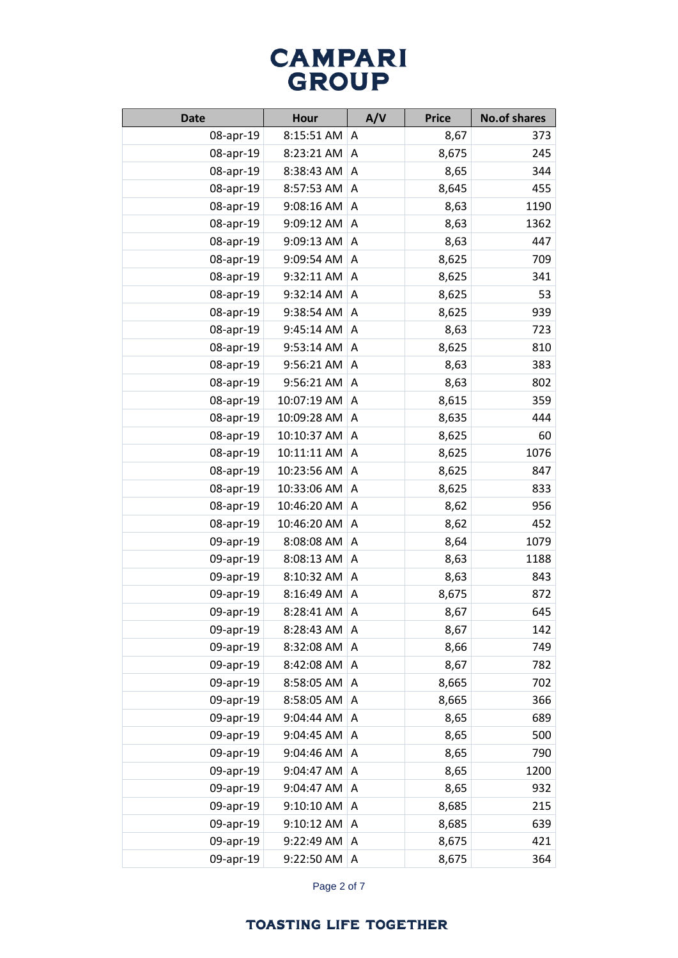| <b>Date</b> | <b>Hour</b> | A/V | <b>Price</b> | <b>No.of shares</b> |
|-------------|-------------|-----|--------------|---------------------|
| 08-apr-19   | 8:15:51 AM  | A   | 8,67         | 373                 |
| 08-apr-19   | 8:23:21 AM  | Α   | 8,675        | 245                 |
| 08-apr-19   | 8:38:43 AM  | A   | 8,65         | 344                 |
| 08-apr-19   | 8:57:53 AM  | Α   | 8,645        | 455                 |
| 08-apr-19   | 9:08:16 AM  | A   | 8,63         | 1190                |
| 08-apr-19   | 9:09:12 AM  | A   | 8,63         | 1362                |
| 08-apr-19   | 9:09:13 AM  | Α   | 8,63         | 447                 |
| 08-apr-19   | 9:09:54 AM  | A   | 8,625        | 709                 |
| 08-apr-19   | 9:32:11 AM  | Α   | 8,625        | 341                 |
| 08-apr-19   | 9:32:14 AM  | Α   | 8,625        | 53                  |
| 08-apr-19   | 9:38:54 AM  | A   | 8,625        | 939                 |
| 08-apr-19   | 9:45:14 AM  | Α   | 8,63         | 723                 |
| 08-apr-19   | 9:53:14 AM  | Α   | 8,625        | 810                 |
| 08-apr-19   | 9:56:21 AM  | Α   | 8,63         | 383                 |
| 08-apr-19   | 9:56:21 AM  | A   | 8,63         | 802                 |
| 08-apr-19   | 10:07:19 AM | A   | 8,615        | 359                 |
| 08-apr-19   | 10:09:28 AM | A   | 8,635        | 444                 |
| 08-apr-19   | 10:10:37 AM | A   | 8,625        | 60                  |
| 08-apr-19   | 10:11:11 AM | Α   | 8,625        | 1076                |
| 08-apr-19   | 10:23:56 AM | A   | 8,625        | 847                 |
| 08-apr-19   | 10:33:06 AM | Α   | 8,625        | 833                 |
| 08-apr-19   | 10:46:20 AM | Α   | 8,62         | 956                 |
| 08-apr-19   | 10:46:20 AM | A   | 8,62         | 452                 |
| 09-apr-19   | 8:08:08 AM  | Α   | 8,64         | 1079                |
| 09-apr-19   | 8:08:13 AM  | Α   | 8,63         | 1188                |
| 09-apr-19   | 8:10:32 AM  | Α   | 8,63         | 843                 |
| 09-apr-19   | 8:16:49 AM  | Α   | 8,675        | 872                 |
| 09-apr-19   | 8:28:41 AM  | A   | 8,67         | 645                 |
| 09-apr-19   | 8:28:43 AM  | Α   | 8,67         | 142                 |
| 09-apr-19   | 8:32:08 AM  | A   | 8,66         | 749                 |
| 09-apr-19   | 8:42:08 AM  | A   | 8,67         | 782                 |
| 09-apr-19   | 8:58:05 AM  | Α   | 8,665        | 702                 |
| 09-apr-19   | 8:58:05 AM  | A   | 8,665        | 366                 |
| 09-apr-19   | 9:04:44 AM  | Α   | 8,65         | 689                 |
| 09-apr-19   | 9:04:45 AM  | Α   | 8,65         | 500                 |
| 09-apr-19   | 9:04:46 AM  | Α   | 8,65         | 790                 |
| 09-apr-19   | 9:04:47 AM  | Α   | 8,65         | 1200                |
| 09-apr-19   | 9:04:47 AM  | Α   | 8,65         | 932                 |
| 09-apr-19   | 9:10:10 AM  | Α   | 8,685        | 215                 |
| 09-apr-19   | 9:10:12 AM  | Α   | 8,685        | 639                 |
| 09-apr-19   | 9:22:49 AM  | Α   | 8,675        | 421                 |
| 09-apr-19   | 9:22:50 AM  | Α   | 8,675        | 364                 |

Page 2 of 7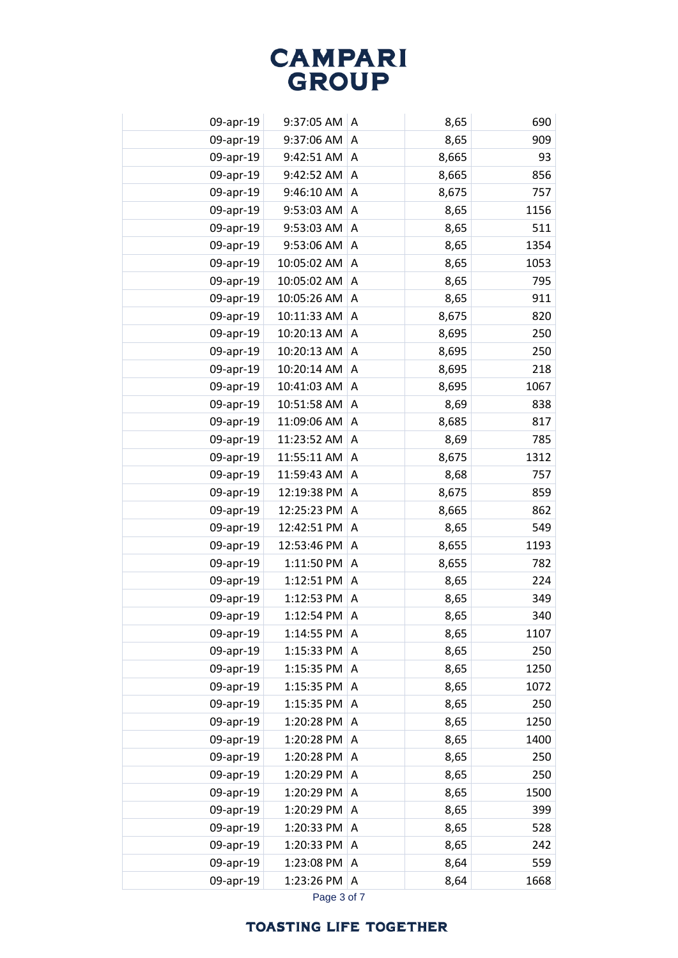| 09-apr-19 | 9:37:05 AM  | Α | 8,65  | 690  |
|-----------|-------------|---|-------|------|
| 09-apr-19 | 9:37:06 AM  | A | 8,65  | 909  |
| 09-apr-19 | 9:42:51 AM  | A | 8,665 | 93   |
| 09-apr-19 | 9:42:52 AM  | Α | 8,665 | 856  |
| 09-apr-19 | 9:46:10 AM  | Α | 8,675 | 757  |
| 09-apr-19 | 9:53:03 AM  | Α | 8,65  | 1156 |
| 09-apr-19 | 9:53:03 AM  | Α | 8,65  | 511  |
| 09-apr-19 | 9:53:06 AM  | Α | 8,65  | 1354 |
| 09-apr-19 | 10:05:02 AM | A | 8,65  | 1053 |
| 09-apr-19 | 10:05:02 AM | Α | 8,65  | 795  |
| 09-apr-19 | 10:05:26 AM | Α | 8,65  | 911  |
| 09-apr-19 | 10:11:33 AM | A | 8,675 | 820  |
| 09-apr-19 | 10:20:13 AM | Α | 8,695 | 250  |
| 09-apr-19 | 10:20:13 AM | Α | 8,695 | 250  |
| 09-apr-19 | 10:20:14 AM | A | 8,695 | 218  |
| 09-apr-19 | 10:41:03 AM | Α | 8,695 | 1067 |
| 09-apr-19 | 10:51:58 AM | Α | 8,69  | 838  |
| 09-apr-19 | 11:09:06 AM | Α | 8,685 | 817  |
| 09-apr-19 | 11:23:52 AM | A | 8,69  | 785  |
| 09-apr-19 | 11:55:11 AM | A | 8,675 | 1312 |
| 09-apr-19 | 11:59:43 AM | A | 8,68  | 757  |
| 09-apr-19 | 12:19:38 PM | Α | 8,675 | 859  |
| 09-apr-19 | 12:25:23 PM | Α | 8,665 | 862  |
| 09-apr-19 | 12:42:51 PM | Α | 8,65  | 549  |
| 09-apr-19 | 12:53:46 PM | Α | 8,655 | 1193 |
| 09-apr-19 | 1:11:50 PM  | Α | 8,655 | 782  |
| 09-apr-19 | 1:12:51 PM  | Α | 8,65  | 224  |
| 09-apr-19 | 1:12:53 PM  | Α | 8,65  | 349  |
| 09-apr-19 | 1:12:54 PM  | Α | 8,65  | 340  |
| 09-apr-19 | 1:14:55 PM  | Α | 8,65  | 1107 |
| 09-apr-19 | 1:15:33 PM  | A | 8,65  | 250  |
| 09-apr-19 | 1:15:35 PM  | A | 8,65  | 1250 |
| 09-apr-19 | 1:15:35 PM  | A | 8,65  | 1072 |
| 09-apr-19 | 1:15:35 PM  | Α | 8,65  | 250  |
| 09-apr-19 | 1:20:28 PM  | Α | 8,65  | 1250 |
| 09-apr-19 | 1:20:28 PM  | Α | 8,65  | 1400 |
| 09-apr-19 | 1:20:28 PM  | Α | 8,65  | 250  |
| 09-apr-19 | 1:20:29 PM  | Α | 8,65  | 250  |
| 09-apr-19 | 1:20:29 PM  | A | 8,65  | 1500 |
| 09-apr-19 | 1:20:29 PM  | Α | 8,65  | 399  |
| 09-apr-19 | 1:20:33 PM  | Α | 8,65  | 528  |
| 09-apr-19 | 1:20:33 PM  | Α | 8,65  | 242  |
| 09-apr-19 | 1:23:08 PM  | Α | 8,64  | 559  |
| 09-apr-19 | 1:23:26 PM  | A | 8,64  | 1668 |
|           |             |   |       |      |

Page 3 of 7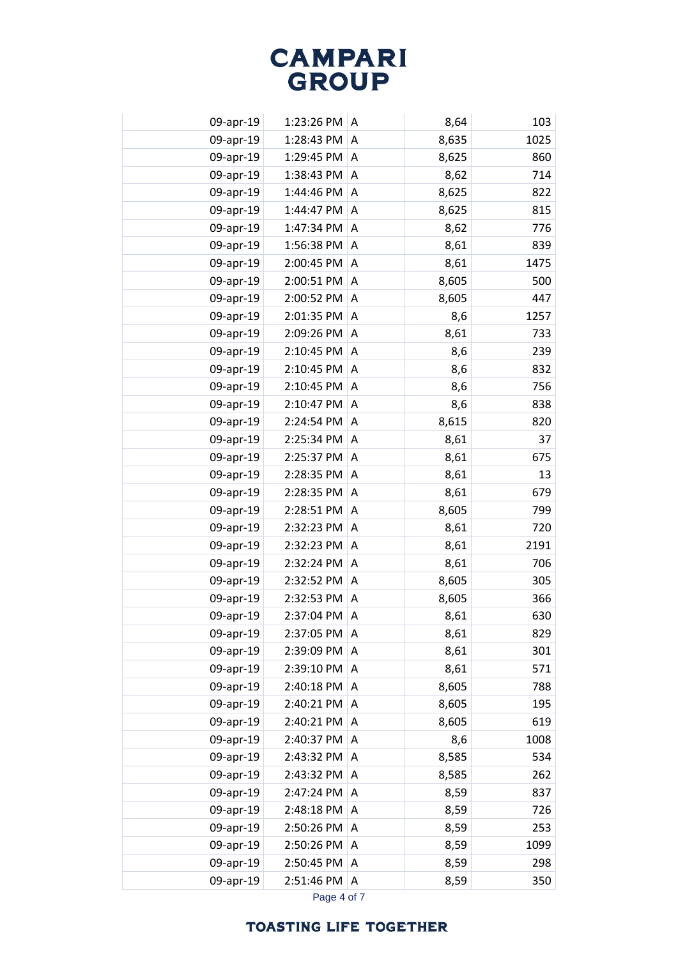| 09-apr-19 | 1:23:26 PM | A | 8,64  | 103  |
|-----------|------------|---|-------|------|
| 09-apr-19 | 1:28:43 PM | Α | 8,635 | 1025 |
| 09-apr-19 | 1:29:45 PM | A | 8,625 | 860  |
| 09-apr-19 | 1:38:43 PM | Α | 8,62  | 714  |
| 09-apr-19 | 1:44:46 PM | Α | 8,625 | 822  |
| 09-apr-19 | 1:44:47 PM | A | 8,625 | 815  |
| 09-apr-19 | 1:47:34 PM | Α | 8,62  | 776  |
| 09-apr-19 | 1:56:38 PM | A | 8,61  | 839  |
| 09-apr-19 | 2:00:45 PM | A | 8,61  | 1475 |
| 09-apr-19 | 2:00:51 PM | Α | 8,605 | 500  |
| 09-apr-19 | 2:00:52 PM | A | 8,605 | 447  |
| 09-apr-19 | 2:01:35 PM | Α | 8,6   | 1257 |
| 09-apr-19 | 2:09:26 PM | Α | 8,61  | 733  |
| 09-apr-19 | 2:10:45 PM | A | 8,6   | 239  |
| 09-apr-19 | 2:10:45 PM | Α | 8,6   | 832  |
| 09-apr-19 | 2:10:45 PM | Α | 8,6   | 756  |
| 09-apr-19 | 2:10:47 PM | Α | 8,6   | 838  |
| 09-apr-19 | 2:24:54 PM | Α | 8,615 | 820  |
| 09-apr-19 | 2:25:34 PM | Α | 8,61  | 37   |
| 09-apr-19 | 2:25:37 PM | A | 8,61  | 675  |
| 09-apr-19 | 2:28:35 PM | A | 8,61  | 13   |
| 09-apr-19 | 2:28:35 PM | Α | 8,61  | 679  |
| 09-apr-19 | 2:28:51 PM | A | 8,605 | 799  |
| 09-apr-19 | 2:32:23 PM | Α | 8,61  | 720  |
| 09-apr-19 | 2:32:23 PM | Α | 8,61  | 2191 |
| 09-apr-19 | 2:32:24 PM | Α | 8,61  | 706  |
| 09-apr-19 | 2:32:52 PM | A | 8,605 | 305  |
| 09-apr-19 | 2:32:53 PM | Α | 8,605 | 366  |
| 09-apr-19 | 2:37:04 PM | A | 8,61  | 630  |
| 09-apr-19 | 2:37:05 PM | A | 8,61  | 829  |
| 09-apr-19 | 2:39:09 PM | A | 8,61  | 301  |
| 09-apr-19 | 2:39:10 PM | A | 8,61  | 571  |
| 09-apr-19 | 2:40:18 PM | A | 8,605 | 788  |
| 09-apr-19 | 2:40:21 PM | Α | 8,605 | 195  |
| 09-apr-19 | 2:40:21 PM | Α | 8,605 | 619  |
| 09-apr-19 | 2:40:37 PM | A | 8,6   | 1008 |
| 09-apr-19 | 2:43:32 PM | Α | 8,585 | 534  |
| 09-apr-19 | 2:43:32 PM | Α | 8,585 | 262  |
| 09-apr-19 | 2:47:24 PM | Α | 8,59  | 837  |
| 09-apr-19 | 2:48:18 PM | Α | 8,59  | 726  |
| 09-apr-19 | 2:50:26 PM | A | 8,59  | 253  |
| 09-apr-19 | 2:50:26 PM | Α | 8,59  | 1099 |
| 09-apr-19 | 2:50:45 PM | Α | 8,59  | 298  |
| 09-apr-19 | 2:51:46 PM | Α | 8,59  | 350  |
|           |            |   |       |      |

Page 4 of 7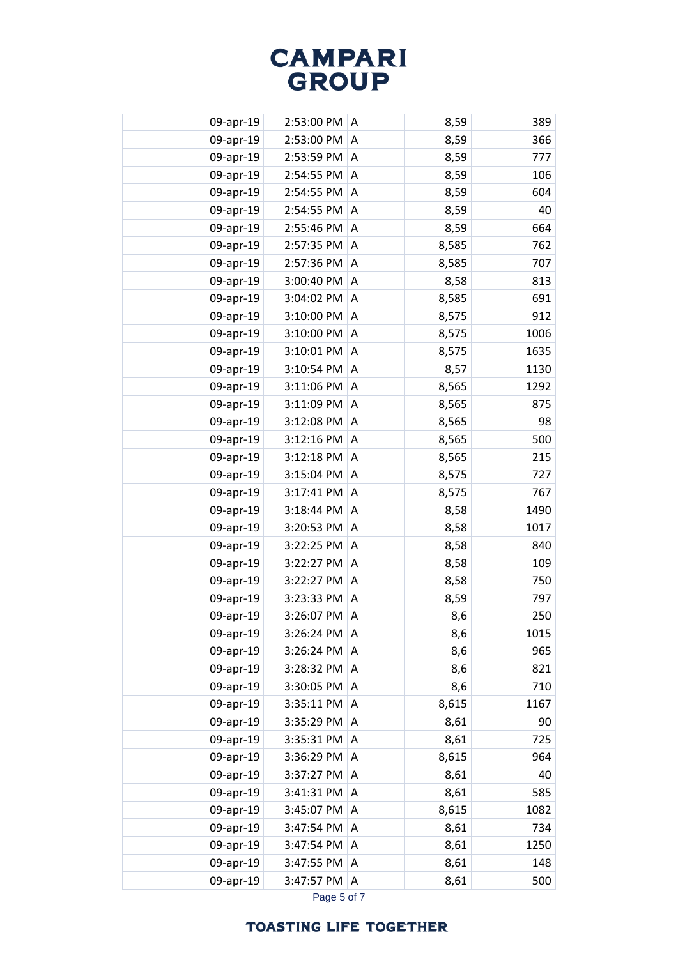| 09-apr-19 | 2:53:00 PM | Α | 8,59  | 389  |
|-----------|------------|---|-------|------|
| 09-apr-19 | 2:53:00 PM | Α | 8,59  | 366  |
| 09-apr-19 | 2:53:59 PM | A | 8,59  | 777  |
| 09-apr-19 | 2:54:55 PM | A | 8,59  | 106  |
| 09-apr-19 | 2:54:55 PM | Α | 8,59  | 604  |
| 09-apr-19 | 2:54:55 PM | Α | 8,59  | 40   |
| 09-apr-19 | 2:55:46 PM | Α | 8,59  | 664  |
| 09-apr-19 | 2:57:35 PM | Α | 8,585 | 762  |
| 09-apr-19 | 2:57:36 PM | A | 8,585 | 707  |
| 09-apr-19 | 3:00:40 PM | A | 8,58  | 813  |
| 09-apr-19 | 3:04:02 PM | A | 8,585 | 691  |
| 09-apr-19 | 3:10:00 PM | Α | 8,575 | 912  |
| 09-apr-19 | 3:10:00 PM | Α | 8,575 | 1006 |
| 09-apr-19 | 3:10:01 PM | A | 8,575 | 1635 |
| 09-apr-19 | 3:10:54 PM | A | 8,57  | 1130 |
| 09-apr-19 | 3:11:06 PM | A | 8,565 | 1292 |
| 09-apr-19 | 3:11:09 PM | Α | 8,565 | 875  |
| 09-apr-19 | 3:12:08 PM | A | 8,565 | 98   |
| 09-apr-19 | 3:12:16 PM | A | 8,565 | 500  |
| 09-apr-19 | 3:12:18 PM | A | 8,565 | 215  |
| 09-apr-19 | 3:15:04 PM | A | 8,575 | 727  |
| 09-apr-19 | 3:17:41 PM | Α | 8,575 | 767  |
| 09-apr-19 | 3:18:44 PM | Α | 8,58  | 1490 |
| 09-apr-19 | 3:20:53 PM | Α | 8,58  | 1017 |
| 09-apr-19 | 3:22:25 PM | Α | 8,58  | 840  |
| 09-apr-19 | 3:22:27 PM | Α | 8,58  | 109  |
| 09-apr-19 | 3:22:27 PM | A | 8,58  | 750  |
| 09-apr-19 | 3:23:33 PM | A | 8,59  | 797  |
| 09-apr-19 | 3:26:07 PM | Α | 8,6   | 250  |
| 09-apr-19 | 3:26:24 PM | Α | 8,6   | 1015 |
| 09-apr-19 | 3:26:24 PM | A | 8,6   | 965  |
| 09-apr-19 | 3:28:32 PM | A | 8,6   | 821  |
| 09-apr-19 | 3:30:05 PM | A | 8,6   | 710  |
| 09-apr-19 | 3:35:11 PM | Α | 8,615 | 1167 |
| 09-apr-19 | 3:35:29 PM | Α | 8,61  | 90   |
| 09-apr-19 | 3:35:31 PM | Α | 8,61  | 725  |
| 09-apr-19 | 3:36:29 PM | Α | 8,615 | 964  |
| 09-apr-19 | 3:37:27 PM | Α | 8,61  | 40   |
| 09-apr-19 | 3:41:31 PM | A | 8,61  | 585  |
| 09-apr-19 | 3:45:07 PM | A | 8,615 | 1082 |
| 09-apr-19 | 3:47:54 PM | Α | 8,61  | 734  |
| 09-apr-19 | 3:47:54 PM | Α | 8,61  | 1250 |
| 09-apr-19 | 3:47:55 PM | A | 8,61  | 148  |
| 09-apr-19 | 3:47:57 PM | Α | 8,61  | 500  |
|           |            |   |       |      |

Page 5 of 7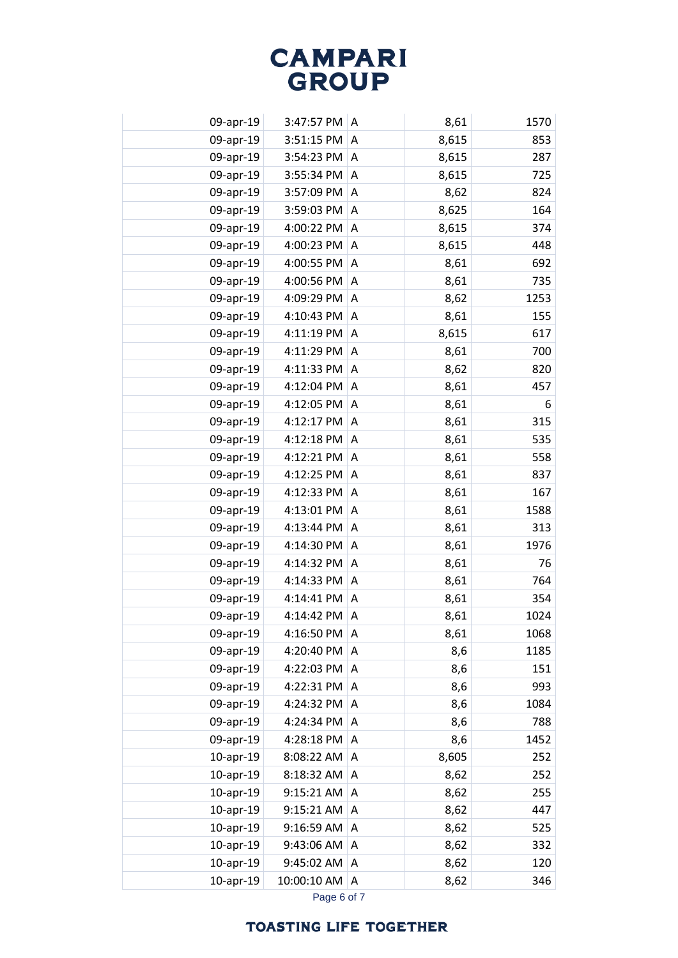| 09-apr-19       | 3:47:57 PM  | A | 8,61  | 1570 |
|-----------------|-------------|---|-------|------|
| 09-apr-19       | 3:51:15 PM  | A | 8,615 | 853  |
| 09-apr-19       | 3:54:23 PM  | A | 8,615 | 287  |
| 09-apr-19       | 3:55:34 PM  | Α | 8,615 | 725  |
| 09-apr-19       | 3:57:09 PM  | Α | 8,62  | 824  |
| 09-apr-19       | 3:59:03 PM  | Α | 8,625 | 164  |
| 09-apr-19       | 4:00:22 PM  | A | 8,615 | 374  |
| 09-apr-19       | 4:00:23 PM  | A | 8,615 | 448  |
| 09-apr-19       | 4:00:55 PM  | A | 8,61  | 692  |
| 09-apr-19       | 4:00:56 PM  | A | 8,61  | 735  |
| 09-apr-19       | 4:09:29 PM  | Α | 8,62  | 1253 |
| 09-apr-19       | 4:10:43 PM  | A | 8,61  | 155  |
| 09-apr-19       | 4:11:19 PM  | A | 8,615 | 617  |
| 09-apr-19       | 4:11:29 PM  | A | 8,61  | 700  |
| 09-apr-19       | 4:11:33 PM  | A | 8,62  | 820  |
| 09-apr-19       | 4:12:04 PM  | Α | 8,61  | 457  |
| 09-apr-19       | 4:12:05 PM  | Α | 8,61  | 6    |
| 09-apr-19       | 4:12:17 PM  | A | 8,61  | 315  |
| 09-apr-19       | 4:12:18 PM  | A | 8,61  | 535  |
| 09-apr-19       | 4:12:21 PM  | A | 8,61  | 558  |
| 09-apr-19       | 4:12:25 PM  | A | 8,61  | 837  |
| 09-apr-19       | 4:12:33 PM  | Α | 8,61  | 167  |
| 09-apr-19       | 4:13:01 PM  | A | 8,61  | 1588 |
| 09-apr-19       | 4:13:44 PM  | A | 8,61  | 313  |
| 09-apr-19       | 4:14:30 PM  | A | 8,61  | 1976 |
| 09-apr-19       | 4:14:32 PM  | A | 8,61  | 76   |
| 09-apr-19       | 4:14:33 PM  | A | 8,61  | 764  |
| 09-apr-19       | 4:14:41 PM  | Α | 8,61  | 354  |
| 09-apr-19       | 4:14:42 PM  | A | 8,61  | 1024 |
| 09-apr-19       | 4:16:50 PM  | A | 8,61  | 1068 |
| 09-apr-19       | 4:20:40 PM  | A | 8,6   | 1185 |
| 09-apr-19       | 4:22:03 PM  | A | 8,6   | 151  |
| 09-apr-19       | 4:22:31 PM  | A | 8,6   | 993  |
| 09-apr-19       | 4:24:32 PM  | Α | 8,6   | 1084 |
| 09-apr-19       | 4:24:34 PM  | A | 8,6   | 788  |
| 09-apr-19       | 4:28:18 PM  | Α | 8,6   | 1452 |
| $10$ -apr- $19$ | 8:08:22 AM  | Α | 8,605 | 252  |
| $10$ -apr- $19$ | 8:18:32 AM  | Α | 8,62  | 252  |
| 10-apr-19       | 9:15:21 AM  | Α | 8,62  | 255  |
| $10$ -apr- $19$ | 9:15:21 AM  | Α | 8,62  | 447  |
| 10-apr-19       | 9:16:59 AM  | A | 8,62  | 525  |
| 10-apr-19       | 9:43:06 AM  | Α | 8,62  | 332  |
| 10-apr-19       | 9:45:02 AM  | A | 8,62  | 120  |
| $10$ -apr- $19$ | 10:00:10 AM | Α | 8,62  | 346  |
|                 |             |   |       |      |

Page 6 of 7